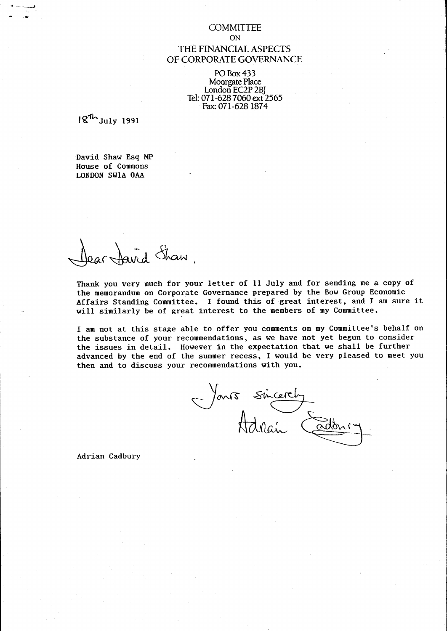#### **COMMITTEE** ON

## THE FINANCIAL ASPECTS OF CORPORATE GOVERNANCE

PO Box 433 Moorgate Place London EC2P 2B] Tel:071-6287060 ext 2565 Fax:071-628 1874

 $18<sup>th</sup>$ July 1991

'.'

David Shaw Esq MP House of Commons LONDON SWIA OAA

Dopenhand Shaw

Thank you very much for your letter of 11 July and for sending me a copy of the memorandum on Corporate Governance prepared by the Bow Group Economic Affairs Standing Committee. I found this of great interest, and I am sure it will similarly be of great interest to the members of my Committee.

I am not at this stage able to offer you comments on my Committee's behalf on the substance of your recommendations, as we have not yet begun to consider the issues in detail. However in the expectation that we shall be further advanced by the end of the summer recess, I would be very pleased to meet you then and to discuss your recommendations with you.

Jans sincerely

Adrian Cadbury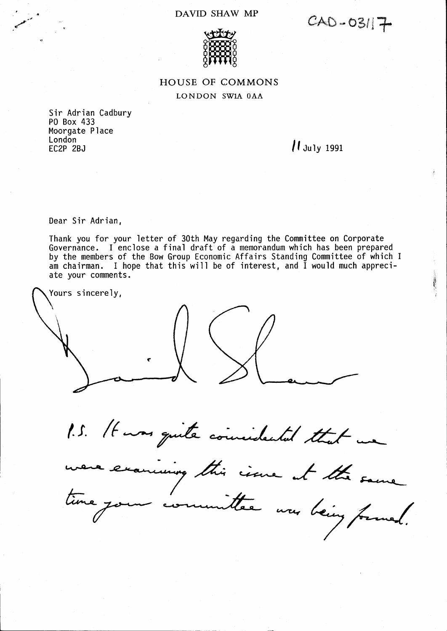## DAVID SHAW MP

CAD-03117



## HOUSE OF COMMONS LONDON SW1A OAA

Sir Adrian Cadbury PO Box 433 Moorgate Place London<br>EC2P 2BJ

 $\mu$  July 1991

Dear Sir Adrian,

Thank you for your letter of 30th May regarding the Committee on Corporate Governance. I enclose a final draft of a memorandum which has been prepared by the members of the Bow Group Economic Affairs Standing Committee of which I am chairman. I hope that this will be of interest, and I would much appreciate your comments.

Yours sincerely,

1.5. It was quite coincidental that we

incing this circulate the same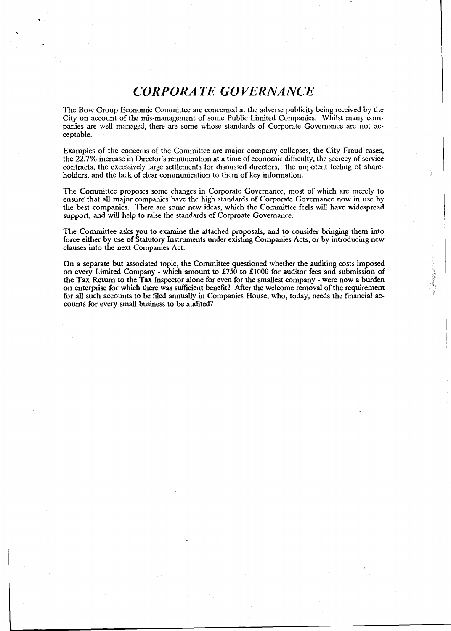# *CORPORATE GOVERNANCE*

The Bow Group Economic Committee are concerned at the adverse publicity being received by the City on account of the mis-management of some Public Limited Companies. Whilst many companies are well managed, there are some whose standards of Corporate Governance are not acceptable.

Examples of the concerns of the Committee are major company collapses, the City Fraud cases, the 22.7% increase in Director's remuneration at a time of economic difficulty, the secrecy of service contracts, the excessively large settlements for dismissed directors, the impotent feeling of shareholders, and the lack of clear communication to them of key information.

The Committee proposes some changes in Corporate Governance, most of which are merely to ensure that all major companies have the high standards of Corporate Governance now in use by the best companies. There are some new ideas, which the Committee feels will have widespread support, and will help to raise the standards of Corproate Governance.

The Committee asks you to examine the attached proposals, and to consider bringing them into force either by use of Statutory Instruments under existing Companies Acts, or by introducing new clauses into the next Companies Act.

On a separate but associated topic, the Committee questioned whether the auditing costs imposed on every Limited Company - which amount to £750 to £1000 for auditor fees and submission of the Tax Return to the Tax Inspector alone for even for the smallest company - were now a burden on enterprise for which there was sufficient benefit? After the welcome removal of the requirement for all such accounts to be filed annually in Companies House, who, today, needs the financial accounts for every small business to be audited?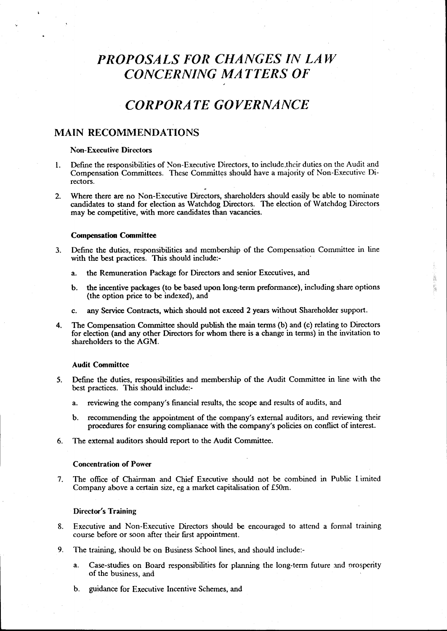# *PROPOSALS FOR CHANGES IN LA W CONCERNING MA TTERS OF*

## *CORPORATE GOVERNANCE*

### MAIN RECOMMENDATIONS

#### Non-Executive Directors

- 1. Define the responsibilities of Non-Executive Directors, to include.their duties on the Audit and Compensation Committees. These Cornmittes should have a majority of Non-Executive Directors.
- 2. Where there are no Non-Executive Directors, shareholders should easily be able to nominate candidates to stand for election as Watchdog Directors. The election of Watchdog Directors may be competitive, with more candidates than vacancies.

#### Compensation Committee

- 3. Define the duties, responsibilities and membership of the Compensation Committee in line with the best practices. This should include:
	- a. the Remuneration Package for Directors and senior Executives, and
	- b. the incentive packages (to be based upon long-term preformance), including share options (the option price to be indexed), and

à ÿ.

- c. any Service Contracts, which should not exceed 2 years without Shareholder support.
- 4. The Compensation Committee should publish the main terms (b) and (c) relating to Directors for election (and any other Directors for whom there is a change in terms) in the invitation to shareholders to the AGM.

#### Audit Committee

- 5. Define the duties, responsibilities and membership of the Audit Committee in line with the best practices. This should include:
	- a. reviewing the company's fmancial results, the scope and results of audits, and
	- b. recommending the appointment of the company's external auditors, and reviewing their procedures for ensuring complianace with the company's policies on conflict of interest.
- 6. The external auditors should report to the Audit Committee.

#### Concentration of Power

7. The office of Chairman and Chief Executive should not be combined in Public Lirnited Company above a certain size, eg a market capitalisation of £5Om.

#### Director's Training

- 8. Executive and Non-Executive Directors should be encouraged to attend a formal training course before or soon after their first appointment.
- 9. The training, should be on Business School lines, and should include:
	- a. Case-studies on Board responsibilities for planning the long-term future and prosperity of the business, and
	- b. guidance for Executive Incentive Schemes, and